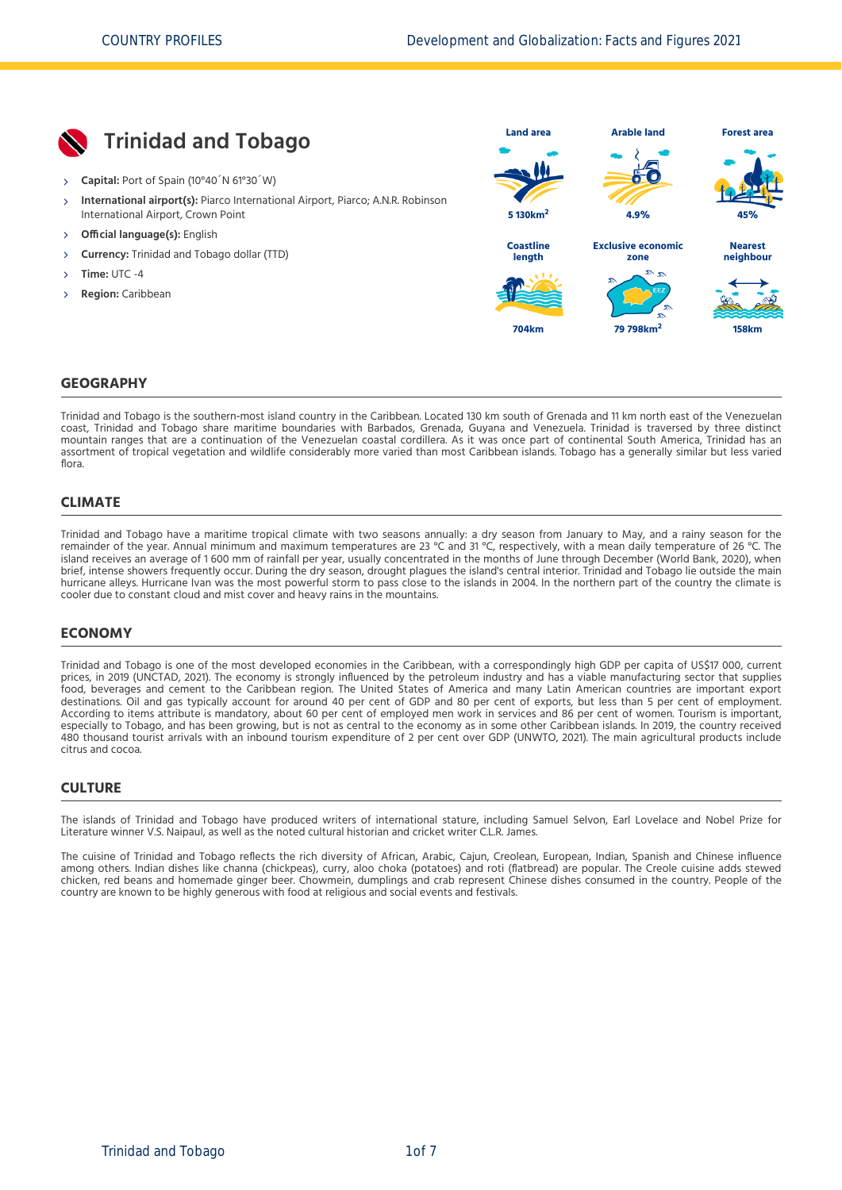

#### **GEOGRAPHY**

Trinidad and Tobago is the southern‐most island country in the Caribbean. Located 130 km south of Grenada and 11 km north east of the Venezuelan coast, Trinidad and Tobago share maritime boundaries with Barbados, Grenada, Guyana and Venezuela. Trinidad is traversed by three distinct mountain ranges that are a continuation of the Venezuelan coastal cordillera. As it was once part of continental South America, Trinidad has an assortment of tropical vegetation and wildlife considerably more varied than most Caribbean islands. Tobago has a generally similar but less varied flora.

#### **CLIMATE**

Trinidad and Tobago have a maritime tropical climate with two seasons annually: a dry season from January to May, and a rainy season for the remainder of the year. Annual minimum and maximum temperatures are 23 °C and 31 °C, respectively, with a mean daily temperature of 26 °C. The island receives an average of 1 600 mm of rainfall per year, usually concentrated in the months of June through December [\(World Bank, 2020\),](#page-6-0) when brief, intense showers frequently occur. During the dry season, drought plagues the island's central interior. Trinidad and Tobago lie outside the main hurricane alleys. Hurricane Ivan was the most powerful storm to pass close to the islands in 2004. In the northern part of the country the climate is cooler due to constant cloud and mist cover and heavy rains in the mountains.

#### **ECONOMY**

Trinidad and Tobago is one of the most developed economies in the Caribbean, with a correspondingly high GDP per capita of US\$17 000, current prices, in 2019 [\(UNCTAD, 2021\)](#page-6-1). The economy is strongly influenced by the petroleum industry and has a viable manufacturing sector that supplies food, beverages and cement to the Caribbean region. The United States of America and many Latin American countries are important export destinations. Oil and gas typically account for around 40 per cent of GDP and 80 per cent of exports, but less than 5 per cent of employment. According to items attribute is mandatory, about 60 per cent of employed men work in services and 86 per cent of women. Tourism is important, especially to Tobago, and has been growing, but is not as central to the economy as in some other Caribbean islands. In 2019, the country received 480 thousand tourist arrivals with an inbound tourism expenditure of 2 per cent over GDP [\(UNWTO, 2021\).](#page-6-2) The main agricultural products include citrus and cocoa.

#### **CULTURE**

The islands of Trinidad and Tobago have produced writers of international stature, including Samuel Selvon, Earl Lovelace and Nobel Prize for Literature winner V.S. Naipaul, as well as the noted cultural historian and cricket writer C.L.R. James.

The cuisine of Trinidad and Tobago reflects the rich diversity of African, Arabic, Cajun, Creolean, European, Indian, Spanish and Chinese influence among others. Indian dishes like channa (chickpeas), curry, aloo choka (potatoes) and roti (flatbread) are popular. The Creole cuisine adds stewed chicken, red beans and homemade ginger beer. Chowmein, dumplings and crab represent Chinese dishes consumed in the country. People of the country are known to be highly generous with food at religious and social events and festivals.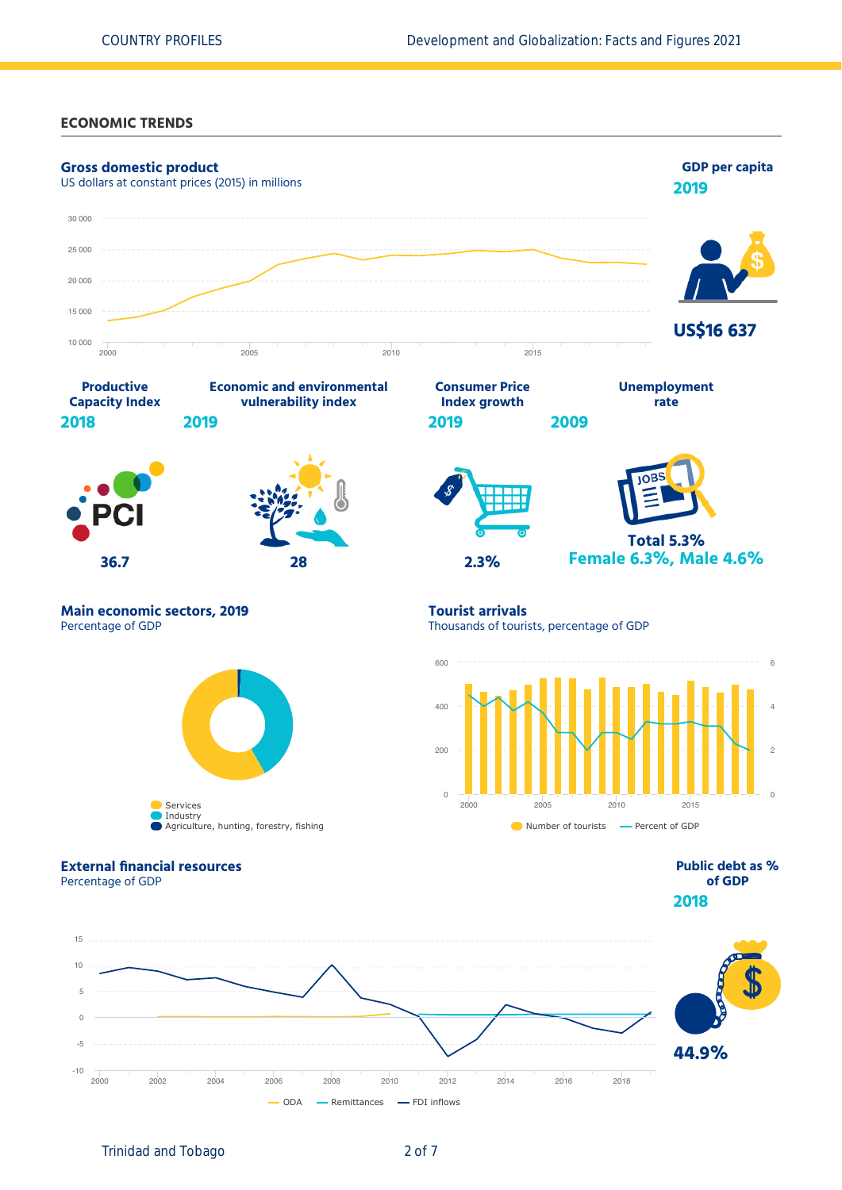#### **ECONOMIC TRENDS**



Trinidad and Tobago 2 of 7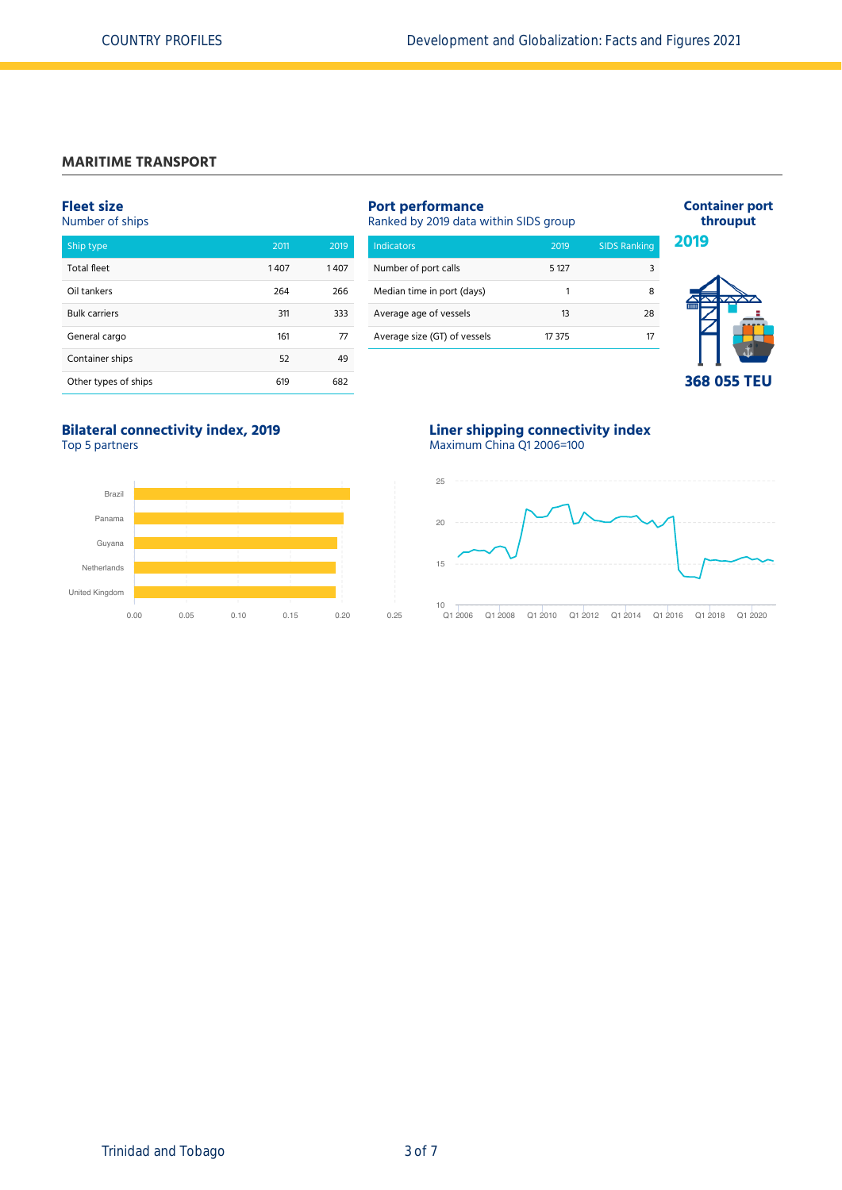## **MARITIME TRANSPORT**

#### **Fleet size**

Number of ships

| Ship type            | 2011 | 2019 |
|----------------------|------|------|
| <b>Total fleet</b>   | 1407 | 1407 |
| Oil tankers          | 264  | 266  |
| <b>Bulk carriers</b> | 311  | 333  |
| General cargo        | 161  | 77   |
| Container ships      | 52   | 49   |
| Other types of ships | 619  | 682  |

## **Port performance**

Ranked by 2019 data within SIDS group

| <b>Indicators</b>            | 2019    | <b>SIDS Ranking</b> |
|------------------------------|---------|---------------------|
| Number of port calls         | 5 1 2 7 |                     |
| Median time in port (days)   | 1       |                     |
| Average age of vessels       | 13      | 28                  |
| Average size (GT) of vessels | 17 375  |                     |



**Container port throuput**

**2019**

**368 055 TEU**

# **Bilateral connectivity index, 2019**

Top 5 partners



## **Liner shipping connectivity index** Maximum China Q1 2006=100

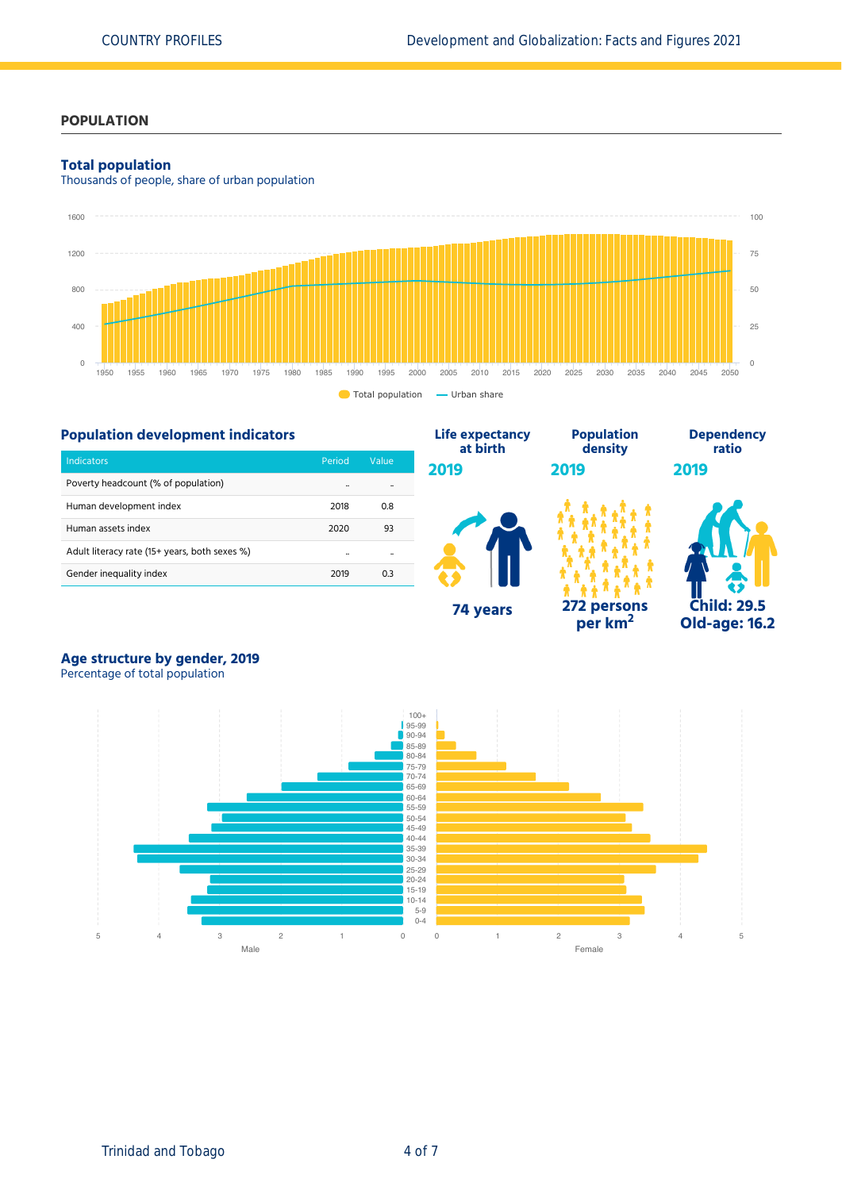## **POPULATION**

#### **Total population**

Thousands of people, share of urban population



**Life expectancy**

## **Population development indicators**

| Indicators                                    | Period | Value |
|-----------------------------------------------|--------|-------|
| Poverty headcount (% of population)           |        |       |
| Human development index                       | 2018   | 0.8   |
| Human assets index                            | 2020   | 93    |
| Adult literacy rate (15+ years, both sexes %) |        |       |
| Gender inequality index                       | 2019   | 0.3   |



**Population**

**per km<sup>2</sup>**



**Dependency**

**Age structure by gender, 2019**



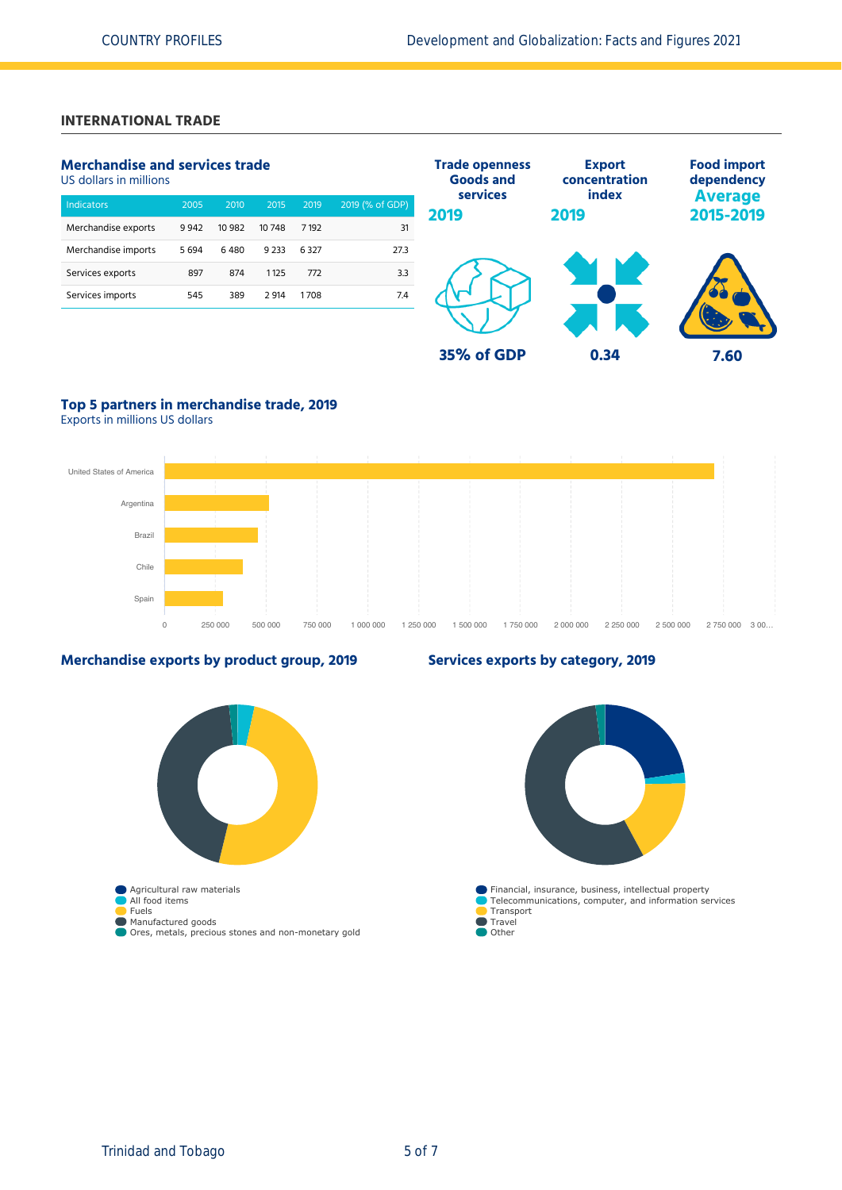## **INTERNATIONAL TRADE**

## **Merchandise and services trade**

US dollars in millions

| <b>Indicators</b>   | 2005 | 2010   | 2015    | 2019    | 2019 (% of GDP) |
|---------------------|------|--------|---------|---------|-----------------|
| Merchandise exports | 9942 | 10 982 | 10748   | 7 1 9 2 | 31              |
| Merchandise imports | 5694 | 6480   | 9 2 3 3 | 6327    | 27.3            |
| Services exports    | 897  | 874    | 1125    | 772     | 3.3             |
| Services imports    | 545  | 389    | 2914    | 1708    | 7.4             |
|                     |      |        |         |         |                 |



## **Top 5 partners in merchandise trade, 2019**

Exports in millions US dollars



## **Merchandise exports by product group, 2019**



## **Services exports by category, 2019**

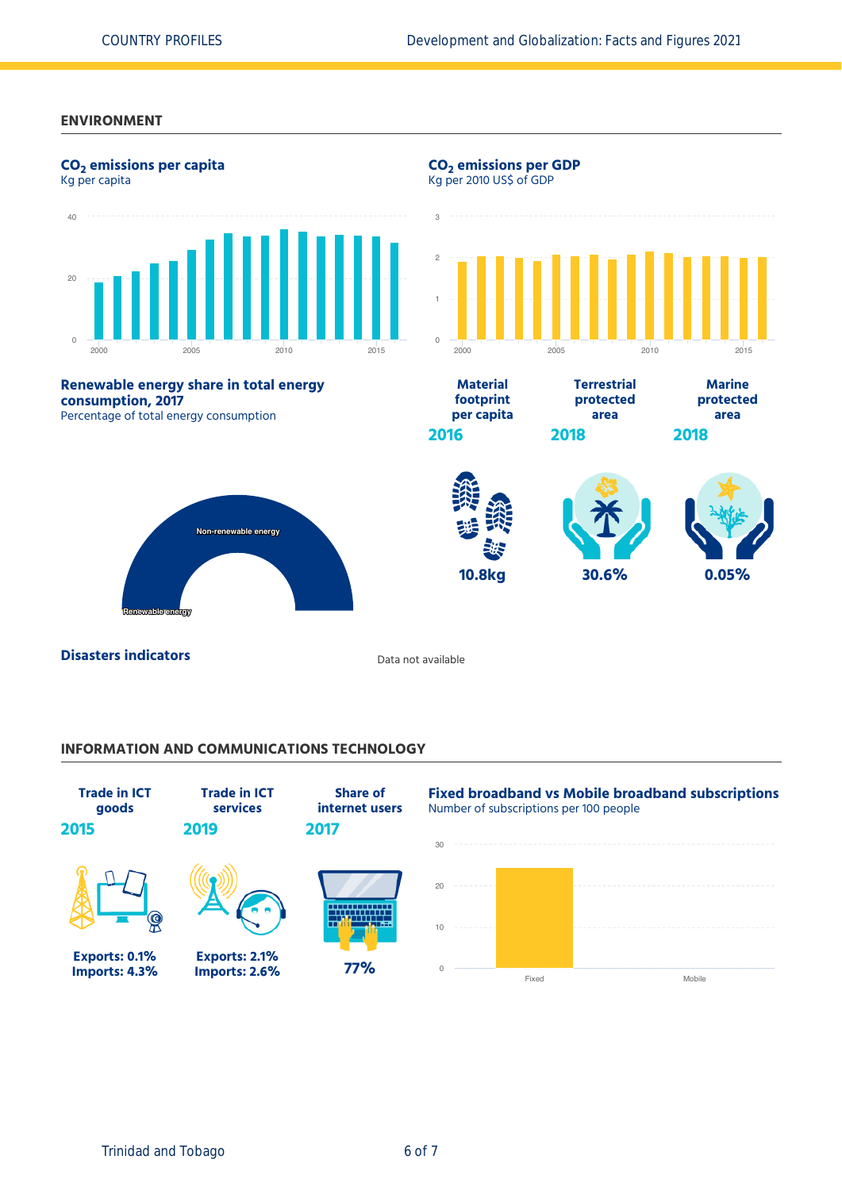### **ENVIRONMENT**



**Disasters indicators Disasters indicators Data not available** 

## **INFORMATION AND COMMUNICATIONS TECHNOLOGY**